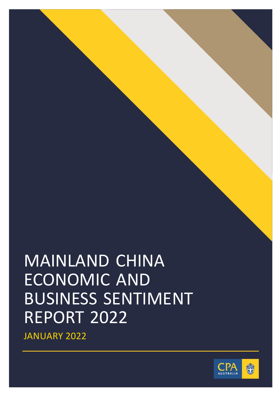# MAINLAND CHINA ECONOMIC AND BUSINESS SENTIMENT REPORT 2022

JANUARY 2022

0 | ESG

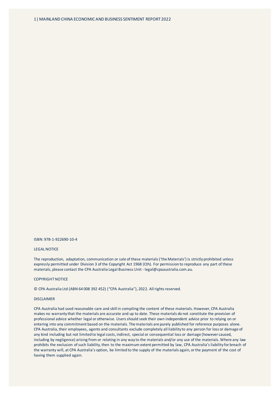ISBN: 978-1-922690-10-4

## LEGAL NOTICE

The reproduction, adaptation, communication or sale of these materials ('the Materials') is strictly prohibited unless expressly permitted under Division 3 of the Copyright Act 1968 (Cth). For permission to reproduce any part of these materials, please contact the CPA Australia Legal Business Unit - legal@cpaaustralia.com.au.

## COPYRIGHT NOTICE

© CPA Australia Ltd (ABN 64 008 392 452) ("CPA Australia"), 2022. All rights reserved.

#### DISCLAIMER

CPA Australia had used reasonable care and skill in compiling the content of these materials. However, CPA Australia makes no warranty that the materials are accurate and up to date. These materials do not constitute the provision of professional advice whether legal or otherwise. Users should seek their own independent advice prior to relying on or entering into any commitment based on the materials. The materials are purely published for reference purposes alone. CPA Australia, their employees, agents and consultants exclude completely all liability to any person for loss or damage of any kind including but not limited to legal costs, indirect, special or consequential loss or damage (however caused, including by negligence) arising from or relating in any way to the materials and/or any use of the materials. Where any law prohibits the exclusion of such liability, then to the maximum extent permitted by law, CPA Australia's liability for breach of the warranty will, at CPA Australia's option, be limited to the supply of the materials again, or the payment of the cost of having them supplied again.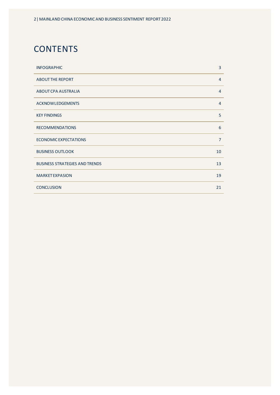# **CONTENTS**

| <b>INFOGRAPHIC</b>                    | 3              |
|---------------------------------------|----------------|
| <b>ABOUT THE REPORT</b>               | $\overline{4}$ |
| ABOUT CPA AUSTRALIA                   | $\overline{4}$ |
| <b>ACKNOWLEDGEMENTS</b>               | $\overline{4}$ |
| <b>KEY FINDINGS</b>                   | 5              |
| <b>RECOMMENDATIONS</b>                | 6              |
| ECONOMIC EXPECTATIONS                 | $\overline{7}$ |
| <b>BUSINESS OUTLOOK</b>               | 10             |
| <b>BUSINESS STRATEGIES AND TRENDS</b> | 13             |
| <b>MARKET EXPASION</b>                | 19             |
| <b>CONCLUSION</b>                     | 21             |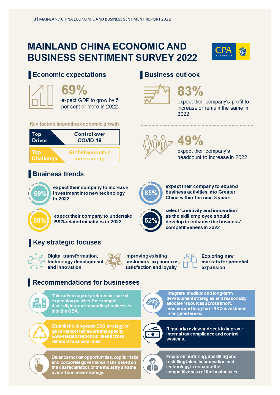# **MAINLAND CHINA ECONOMIC AND BUSINESS SENTIMENT SURVEY 2022**



# Economic expectations



expect GDP to grow by 5 per cent or more in 2022

# Key factors impacting economic growth



# **Business trends**



expect their company to increase investment into new technology In 2022

expect their company to undertake **ESG-related initiatives in 2022** 

# **Key strategic focuses**



**Digital transformation,** technology development and innovation

**Improving existing** customers' experiences, satisfaction and loyalty

**Exploring new** expansion

# Recommendations for businesses



Take advantage of preferential market expansion policies, for example, diversifying and expanding businesses into the GBA.



Establish a long-term ESG strategy or governance framework and specify **ESG-related responsibilities across** different business units.

Balance market opportunities, capital risks and corporate governance risks based on the characteristics of the industry and the overall business strategy.

# **Business outlook**



expect their company's profit to increase or remain the same in 2022



# 49%

expect their company's headcount to increase in 2022



expect their company to expand business activities into Greater China within the next 3 years



select 'creativity and innovation' as the skill employee should develop to enhance the business' competitiveness in 2022



markets for potential



Integrate medium and long-term development strategies and reasonably allocate resources across short, medium and long-term R&D investment in targeted areas.



Regularly review and seek to improve internal tax compliance and control systems.



Focus on nurturing, upskilling and reskilling talent in innovation and technology to enhance the competitiveness of the businesses.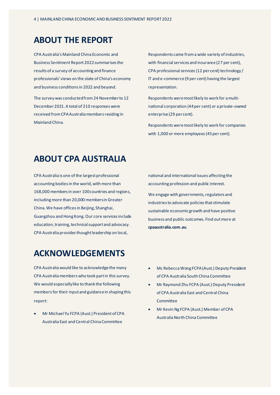# **ABOUT THE REPORT**

CPA Australia's Mainland China Economic and Business Sentiment Report 2022 summarises the results of a survey of accounting and finance professionals' views on the state of China's economy and business conditions in 2022 and beyond.

The survey was conducted from 24 November to 12 December 2021. A total of 210 responses were received from CPA Australia members residing in Mainland China.

Respondents came from a wide variety of industries, with financial services and insurance (27 per cent), CPA professional services(12 per cent) technology / IT and e-commerce (9 per cent) having the largest representation.

Respondents were most likely to work for a multinational corporation (44per cent) or a private-owned enterprise (29 per cent).

Respondents were most likely to work for companies with 1,000 or more employees (45 per cent).

# **ABOUT CPA AUSTRALIA**

CPA Australia is one of the largest professional accounting bodies in the world, with more than 168,000 members in over 100 countries and regions, including more than 20,000 members in Greater China. We have offices in Beijing, Shanghai, Guangzhou and Hong Kong. Our core services include education, training, technical support and advocacy. CPA Australia provides thought leadership on local,

# **ACKNOWLEDGEMENTS**

CPA Australia would like to acknowledge the many CPA Australia members who took part in this survey. We would especially like to thank the following members for their input and guidance in shaping this report:

• Mr Michael Yu FCPA (Aust.) President of CPA Australia East and Central China Committee

national and international issues affecting the accounting profession and public interest. We engage with governments, regulators and industries to advocate policies that stimulate sustainable economic growth and have positive business and public outcomes. Find out more at **[cpaaustralia.com.au](https://www.cpaaustralia.com.au/)**.

- Ms Rebecca Wong FCPA (Aust.) Deputy President of CPA Australia South China Committee
- Mr Raymond Zhu FCPA (Aust.) Deputy President of CPA Australia East and Central China Committee
- Mr Kevin Ng FCPA (Aust.) Member of CPA Australia North China Committee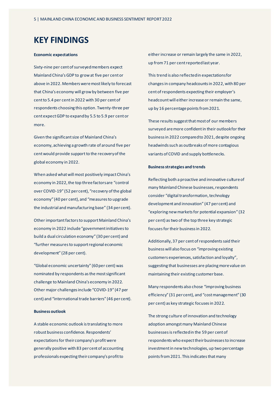# **KEY FINDINGS**

## **Economic expectations**

Sixty-nine per cent of surveyed members expect Mainland China's GDP to grow at five per cent or above in 2022. Members were most likely to forecast that China's economy will grow by between five per cent to 5.4 per cent in 2022 with 30 per cent of respondents choosing this option. Twenty-three per cent expect GDP to expand by 5.5 to 5.9 per cent or more.

Given the significant size of Mainland China's economy, achieving a growth rate of around five per cent would provide support to the recovery of the global economy in 2022.

When asked what will most positively impact China's economy in 2022, the top three factors are "control over COVID-19" (52 per cent), "recovery of the global economy" (40 per cent), and "measures to upgrade the industrial and manufacturing base" (34 per cent).

Other important factors to support Mainland China's economy in 2022 include "government initiatives to build a dual circulation economy" (30 per cent) and "further measures to support regional economic development" (28 per cent).

"Global economic uncertainty" (60per cent) was nominated by respondents asthe most significant challenge to Mainland China's economy in 2022. Other major challenges include "COVID-19" (47 per cent) and "international trade barriers" (46 per cent).

# **Business outlook**

A stable economic outlook is translating to more robust business confidence. Respondents' expectations for their company's profit were generally positive with 83 per cent of accounting professionals expecting their company's profit to

either increase or remain largely the same in 2022, up from71 per cent reported last year.

This trend is also reflected in expectations for changes in company headcounts in 2022, with 80 per cent of respondents expecting their employer's headcount will either increase or remain the same, up by 16 percentage points from 2021.

These results suggest that most of our members surveyed aremore confident in their outlook for their business in 2022 compared to 2021, despite ongoing headwinds such as outbreaks of more contagious variants of COVID and supply bottlenecks.

## **Business strategies and trends**

Reflecting both a proactive and innovative culture of many Mainland Chinese businesses, respondents consider "digital transformation, technology development and innovation" (47 per cent) and "exploring new markets for potential expansion" (32 per cent) as two of the top three key strategic focuses for their business in 2022.

Additionally, 37 per cent of respondents said their business will also focus on "improving existing customers experiences, satisfaction and loyalty", suggesting that businesses are placing more value on maintaining their existing customer base.

Many respondents also chose "improving business efficiency" (31 per cent), and "cost management" (30 per cent) as key strategic focuses in 2022.

The strong culture of innovation and technology adoption amongst many Mainland Chinese businessesis reflected in the 59 per cent of respondents who expect their businesses to increase investment in new technologies, up two percentage points from 2021. This indicates that many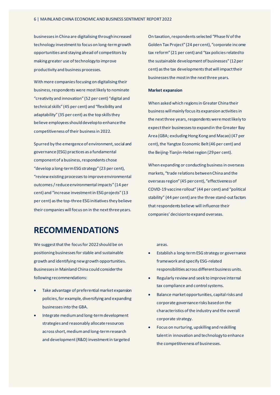businesses in China are digitalising through increased technology investment to focus on long-term growth opportunities and staying ahead of competitors by making greater use of technology to improve productivity and business processes.

With more companies focusing on digitalising their business, respondents were most likely to nominate "creativity and innovation" (52 per cent) "digital and technical skills" (45 per cent) and "flexibility and adaptability" (35 per cent) as the top skills they believe employees should develop to enhance the competitiveness of their business in 2022.

Spurred by the emergence of environment, social and governance (ESG) practices as a fundamental component of a business, respondents chose "develop a long-term ESG strategy" (23 per cent), "review existing processes to improve environmental outcomes / reduce environmental impacts" (14 per cent) and "increase investment in ESG projects" (13 per cent) as the top-three ESG initiatives they believe their companies will focus on in the next three years.

# **RECOMMENDATIONS**

We suggest that the focus for 2022 should be on positioning businesses for stable and sustainable growth and identifying new growth opportunities. Businesses in Mainland China could consider the following recommendations:

- Take advantage of preferential market expansion policies, for example, diversifying and expanding businesses into the GBA.
- Integrate medium and long-term development strategies and reasonably allocate resources acrossshort, medium and long-term research and development (R&D) investment in targeted

On taxation, respondents selected "Phase IV of the Golden Tax Project" (24 per cent), "corporate income tax reform" (21 per cent) and "tax policies related to the sustainable development of businesses" (12 per cent) as the tax developments that will impact their businesses the most in the next three years.

## **Market expansion**

When asked which regions in Greater China their business will mainly focus its expansion activities in the next three years, respondents were most likely to expect their businesses to expand in the Greater Bay Area (GBA; excluding Hong Kong and Macao) (47 per cent), the Yangtze Economic Belt (46 per cent) and the Beijing-Tianjin-Hebei region (29 per cent).

When expanding or conducting business in overseas markets, "trade relations between China and the overseas region" (45 per cent), "effectiveness of COVID-19 vaccine rollout" (44 per cent) and "political stability" (44 per cent) are the three stand-out factors that respondents believe will influence their companies' decision to expand overseas.

areas.

- Establish a long-term ESG strategy or governance framework and specify ESG-related responsibilities across different business units.
- Regularly review and seek to improve internal tax compliance and control systems.
- Balance market opportunities, capital risks and corporate governance risks based on the characteristics of the industry and the overall corporate strategy.
- Focus on nurturing, upskilling and reskilling talent in innovation and technologyto enhance the competitiveness of businesses.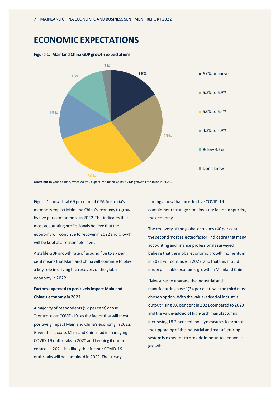# **ECONOMIC EXPECTATIONS**



# **Figure 1. Mainland China GDP growth expectations**

**Question:** In your opinion, what do you expect Mainland China's GDP growth rate to be in 2022?

Figure 1 shows that 69 per cent of CPA Australia's members expect Mainland China's economy to grow by five per cent or more in 2022. This indicates that most accounting professionals believe that the economy will continue to recover in 2022 and growth will be kept at a reasonable level.

A stable GDP growth rate of around five to six per cent means that Mainland China will continue to play a key role in driving the recovery of the global economy in 2022.

# **Factors expected to positively impact Mainland China's economy in 2022**

A majority of respondents (52 per cent) chose "control over COVID-19" as the factor that will most positively impact Mainland China's economy in 2022. Given the success Mainland China had in managing COVID-19 outbreaks in 2020 and keeping it under control in 2021, it is likely that further COVID-19 outbreaks will be contained in 2022. The survey

findings show that an effective COVID-19 containment strategy remains a key factor in spurring the economy.

The recovery of the global economy (40 per cent) is the second most selected factor, indicating that many accounting and finance professionals surveyed believe that the global economic growth momentum in 2021 will continue in 2022, and that this should underpin stable economic growth in Mainland China.

"Measures to upgrade the industrial and manufacturing base" (34 per cent) was the third most chosen option. With the value-added of industrial output rising 9.6 per cent in 2021 compared to 2020 and the value-added of high-tech manufacturing increasing 18.2 per cent, policy measures to promote the upgrading of the industrial and manufacturing system is expected to provide impetus to economic growth.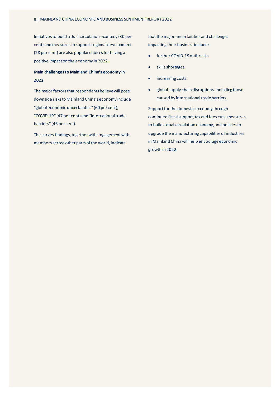Initiatives to build a dual circulation economy (30 per cent) and measures to support regional development (28 per cent) are also popular choices for having a positive impact on the economy in 2022.

# **Main challenges to Mainland China's economy in 2022**

The major factors that respondents believe will pose downside risks to Mainland China's economy include "global economic uncertainties" (60 per cent), "COVID-19" (47 per cent) and "international trade barriers" (46 per cent).

The survey findings, together with engagement with members across other parts of the world, indicate

that the major uncertainties and challenges impacting their business include:

- further COVID-19 outbreaks
- skills shortages
- increasing costs
- global supply chain disruptions, including those caused by international trade barriers.

Support for the domestic economy through continued fiscal support, tax and fees cuts, measures to build a dual circulation economy, and policies to upgrade the manufacturing capabilities of industries in Mainland China will help encourage economic growth in 2022.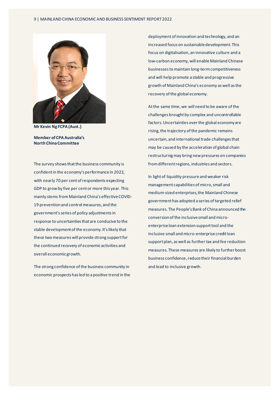

**Mr Kevin Ng FCPA (Aust.)**

**Member of CPA Australia's North China Committee** 

The survey shows that the business community is confident in the economy's performance in 2022, with nearly 70 per cent of respondents expecting GDP to grow by five per cent or more this year. This mainly stems from Mainland China's effective COVID-19 prevention and control measures, and the government's series of policy adjustments in response to uncertainties that are conducive to the stable development of the economy. It's likely that these two measures will provide strong support for the continued recovery of economic activities and overall economic growth.

The strong confidence of the business community in economic prospects has led to a positive trend in the

deployment of innovation and technology, and an increased focus on sustainable development. This focus on digitalisation, an innovative culture and a low-carbon economy, will enable Mainland Chinese businessesto maintain long-term competitiveness and will help promote a stable and progressive growth of Mainland China's economy as well as the recovery of the global economy.

Atthe same time, we will need to be aware of the challenges brought by complex and uncontrollable factors. Uncertainties over the global economy are rising, the trajectory of the pandemic remains uncertain, and international trade challenges that may be caused by the acceleration of global chain restructuring may bring new pressures on companies from different regions, industries and sectors.

In light of liquidity pressure and weaker risk management capabilities of micro, small and medium-sized enterprises, the Mainland Chinese government has adopted a series of targeted relief measures. The People's Bank of China announced the conversionof the inclusive small and microenterprise loan extension support tool and the inclusive small and micro-enterprise credit loan support plan, as well as further tax and fee reduction measures. These measures are likely to further boost business confidence, reduce their financial burden and lead to inclusive growth.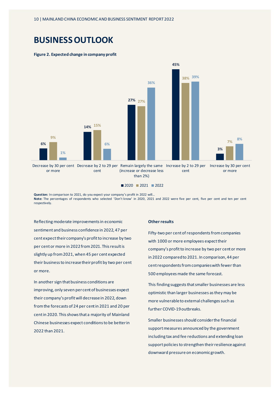# **BUSINESS OUTLOOK**

## **Figure 2. Expected change in company profit**



■ 2020 ■ 2021 ■ 2022

**Question:** In comparison to 2021, do you expect your company's profit in 2022 will… **Note:** The percentages of respondents who selected 'Don't know' in 2020, 2021 and 2022 were five per cent, five per cent and ten per cent respectively.

Reflecting moderate improvements in economic sentiment and business confidence in 2022, 47 per cent expect their company's profit to increase by two per cent or more in 2022 from 2021. This result is slightly up from 2021, when 45 per cent expected their business to increase their profit by two per cent or more.

In another sign that business conditions are improving, only seven per cent of businesses expect their company's profit will decrease in 2022, down from the forecasts of 24 per cent in 2021 and 20 per cent in 2020. This shows that a majority of Mainland Chinese businesses expect conditions to be better in 2022 than 2021.

## **Other results**

Fifty-two per cent of respondents from companies with 1000 or more employees expect their company's profit to increase by two per cent or more in 2022 compared to 2021. In comparison, 44 per cent respondents from companies with fewer than 500 employees made the same forecast.

This finding suggests that smaller businesses are less optimistic than larger businesses as they may be more vulnerable to external challenges such as further COVID-19 outbreaks.

Smaller businesses should consider the financial support measures announced by the government including tax and fee reductions and extending loan support policies to strengthen their resilience against downward pressure on economic growth.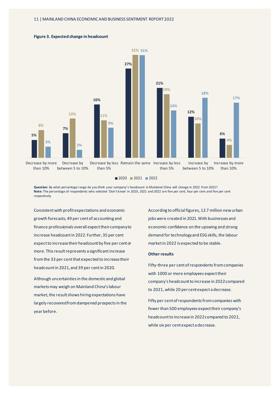

## **Figure 3. Expected change in headcount**

2020 2021 2022

**Question:** By what percentage range do you think your company's headcount in Mainland China will change in 2022 from 2021? **Note:** The percentage of respondents who selected 'Don't know' in 2020, 2021 and 2022 are five per cent, four per cent and five per cent respectively.

Consistent with profit expectations and economic growth forecasts, 49 per cent of accounting and finance professionals overall expect their company to increase headcount in 2022. Further, 35 per cent expect to increase their headcount by five per cent or more. This result represents a significantincrease from the 33 per cent that expected to increase their headcount in 2021, and 39 per cent in 2020.

Although uncertainties in the domestic and global markets may weigh on Mainland China's labour market, the result shows hiring expectations have largely recovered from dampened prospects in the year before.

According to official figures, 12.7 million new urban jobs were created in 2021. With businesses and economic confidence on the upswing and strong demand for technology and ESG skills, the labour market in 2022 is expected to be stable.

## **Other results**

Fifty-three per cent of respondents from companies with 1000 or more employees expect their company's headcount to increase in 2022 compared to 2021, while 20 per cent expect a decrease.

Fifty per cent of respondents from companies with fewer than 500 employees expect their company's headcount to increase in 2022 compared to 2021, while six per cent expect a decrease.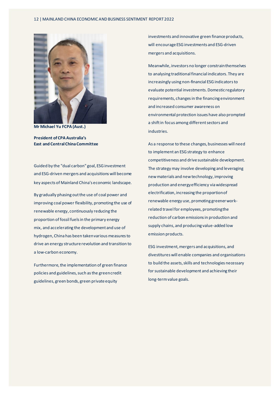### 12 | MAINLAND CHINA ECONOMIC AND BUSINESS SENTIMENT REPORT 2022



**Mr Michael Yu FCPA (Aust.)**

**President of CPA Australia's East and Central China Committee** 

Guided by the "dual carbon" goal, ESG investment and ESG-driven mergers and acquisitions will become key aspects of Mainland China's economic landscape.

By gradually phasing out the use of coal power and improving coal power flexibility, promoting the use of renewable energy, continuously reducing the proportion of fossil fuels in the primary energy mix, and accelerating the development and use of hydrogen, China has been taken various measures to drive an energy structure revolution and transition to a low-carbon economy.

Furthermore, the implementation of green finance policies and guidelines, such as the green credit guidelines, green bonds, green private equity

investments and innovative green finance products, will encourage ESG investments and ESG-driven mergers and acquisitions.

Meanwhile, investors no longer constrainthemselves to analysing traditional financial indicators. They are increasingly using non-financial ESG indicators to evaluate potential investments. Domestic regulatory requirements, changes in the financing environment and increased consumer awareness on environmental protection issues have also prompted a shift in focus among different sectors and industries.

As a response to these changes, businesses will need to implement an ESG strategy to enhance competitiveness and drive sustainable development. The strategy may involve developing and leveraging new materials and new technology, improving production and energy efficiency viawidespread electrification, increasing the proportion of renewable energy use, promoting greener workrelated travel for employees, promoting the reduction of carbon emissions in production and supply chains, and producing value-added low emission products.

ESG investment, mergers and acquisitions, and divestitures will enable companies and organisations to build the assets, skills and technologies necessary for sustainable development and achieving their long-term value goals.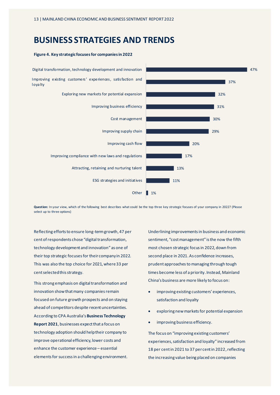# **BUSINESS STRATEGIES AND TRENDS**



**Figure 4. Key strategic focuses for companies in 2022**

**Question:** In your view, which of the following best describes what could be the top three key strategic focuses of your company in 2022? (Please select up to three options)

Reflecting efforts to ensure long-term growth, 47 per cent of respondents chose "digital transformation, technology development and innovation" as one of their top strategic focuses for their company in 2022. This was also the top choice for 2021, where 33 per cent selected this strategy.

This strong emphasis on digital transformation and innovation show that many companies remain focused on future growth prospects and on staying ahead of competitors despite recent uncertainties. According to CPA Australia's **[Business Technology](https://www.cpaaustralia.com.au/-/media/project/cpa/corporate/documents/tools-and-resources/financial-reporting/business-technology-report-2021.pdf?rev=b99ab28c4c9b4e299402b9fd010a8d8f&download=true)  [Report 2021](https://www.cpaaustralia.com.au/-/media/project/cpa/corporate/documents/tools-and-resources/financial-reporting/business-technology-report-2021.pdf?rev=b99ab28c4c9b4e299402b9fd010a8d8f&download=true)**, businesses expect that a focus on technology adoption should help their company to improve operational efficiency, lower costs and enhance the customer experience – essential elements for successin a challenging environment.

Underlining improvements in business and economic sentiment, "cost management" is the now the fifth most chosen strategic focus in 2022, down from second place in 2021. As confidence increases, prudent approaches to managing through tough times become less of a priority. Instead, Mainland China's business are more likely to focus on:

- improving existing customers' experiences, satisfaction and loyalty
- exploring new markets for potential expansion
- improving business efficiency.

The focus on "improving existing customers' experiences, satisfaction and loyalty" increased from 18 per cent in 2021 to 37 per cent in 2022, reflecting the increasing value being placed on companies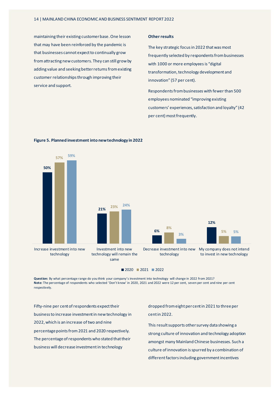maintaining their existing customer base. One lesson that may have been reinforced by the pandemic is that businesses cannot expect to continually grow from attracting new customers. They can still grow by adding value and seeking better returns from existing customer relationships through improving their service and support.

## **Other results**

The key strategic focus in 2022 that was most frequently selected by respondents from businesses with 1000 or more employees is "digital transformation, technology development and innovation" (57 per cent).

Respondents from businesses with fewer than 500 employees nominated "improving existing customers' experiences, satisfaction and loyalty" (42 per cent) most frequently.



## **Figure 5. Planned investment into new technology in 2022**

**Question:** By what percentage range do you think your company's investment into technology will change in 2022 from 2021? **Note:** The percentage of respondents who selected 'Don't know' in 2020, 2021 and 2022 were 12 per cent, seven per cent and nine per cent respectively.

Fifty-nine per cent of respondents expect their business to increase investment in new technology in 2022, which is an increase of two and nine percentage points from2021 and 2020 respectively. The percentage of respondents who stated that their business will decrease investmentin technology

dropped from eight per cent in 2021 to three per cent in 2022.

This result supports other survey data showing a strong culture of innovation and technology adoption amongst many Mainland Chinese businesses. Such a culture of innovation is spurred by a combination of different factors including government incentives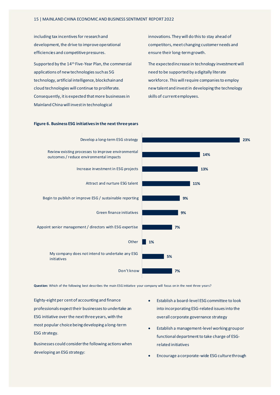including tax incentives for research and development, the drive to improve operational efficiencies and competitive pressures.

Supported by the 14th Five-Year Plan, the commercial applications of new technologies such as 5G technology, artificial intelligence, blockchain and cloud technologies will continue to proliferate. Consequently, it is expected that more businesses in Mainland China will invest in technological

innovations. They will do this to stay ahead of competitors, meet changing customer needs and ensure their long-term growth.

The expected increase in technology investment will need to be supported by a digitally literate workforce. This will require companies to employ new talent and invest in developing the technology skills of current employees.



## **Figure 6. Business ESG initiatives in the next three years**

Question: Which of the following best describes the main ESG initiative your company will focus on in the next three years?

Eighty-eight per cent of accounting and finance professionals expect their businesses to undertake an ESG initiative over the next three years, with the most popular choice being developing a long-term ESG strategy.

Businesses could consider the following actions when developing an ESG strategy:

- Establish a board-level ESG committee to look into incorporating ESG-related issues into the overall corporate governance strategy
- Establish a management-level working group or functional department to take charge of ESGrelated initiatives
- Encourage a corporate-wide ESG culture through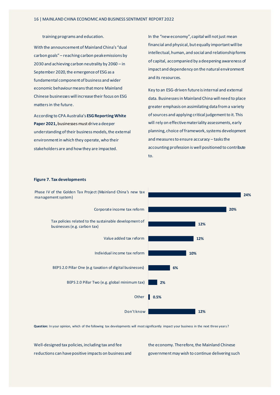training programs and education.

With the announcement of Mainland China's "dual carbon goals" – reaching carbon peak emissions by 2030 and achieving carbon neutrality by 2060 – in September 2020, the emergence of ESG as a fundamental component of business and wider economic behaviour means that more Mainland Chinese businesses will increase their focus on ESG mattersin the future.

According to CPA Australia's **[ESG Reporting White](https://www.cpaaustralia.com.au/-/media/project/cpa/corporate/documents/esg-reporting-whitepaper.pdf)  [Paper 2021,](https://www.cpaaustralia.com.au/-/media/project/cpa/corporate/documents/esg-reporting-whitepaper.pdf)**businesses must drive a deeper understanding of their business models, the external environment in which they operate, who their stakeholders are and how they are impacted.

In the "new economy", capital will not just mean financial and physical, but equally important will be intellectual, human, and social and relationship forms of capital, accompanied by a deepening awareness of impact and dependency on the natural environment and its resources.

Key to an ESG-driven future is internal and external data. Businessesin Mainland China will need to place greater emphasis on assimilating data from a variety of sources and applying critical judgement to it. This will rely on effective materiality assessments, early planning, choice of framework, systems development and measures to ensure accuracy – tasks the accounting profession is well positioned to contribute to.



## **Figure 7. Tax developments**

Question: In your opinion, which of the following tax developments will most significantly impact your business in the next three years?

Well-designed tax policies, including tax and fee reductions can have positive impacts on business and the economy. Therefore, the Mainland Chinese government may wish to continue delivering such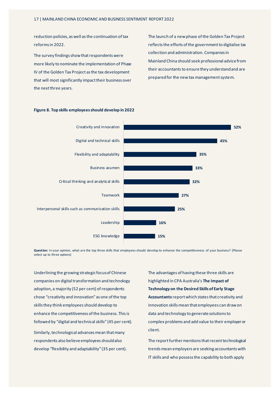reduction policies, as well as the continuation of tax reforms in 2022.

The survey findings show that respondents were more likely to nominate the implementation of Phase IV of the Golden Tax Project as the tax development that will most significantly impact their business over the next three years.

The launch of a new phase of the Golden Tax Project reflects the efforts of the government to digitalise tax collection and administration. Companies in Mainland China should seek professional advice from their accountants to ensure they understand and are prepared for the new tax management system.



## **Figure 8. Top skills employees should develop in 2022**

**Question:** In your opinion, what are the top three skills that employees should develop to enhance the competitiveness of your business? (Please select up to three options)

Underlining the growing strategic focus of Chinese companies on digital transformation and technology adoption, a majority (52 per cent) of respondents chose "creativity and innovation" as one of the top skills they think employees should develop to enhance the competitiveness of the business. This is followed by "digital and technical skills" (45 per cent). Similarly, technological advances mean that many respondents also believe employees should also develop "flexibility and adaptability" (35 per cent).

The advantages of having these three skills are highlighted in CPA Australia's **[The Impact of](https://www.cpaaustralia.com.au/-/media/corporate/allfiles/document/professional-resources/business-management/the-impact-of-technology-on-the-desired-skills-of-early-career-accountants.pdf?la=en&rev=a42b2122d3604d1cb5f615aecf1b7e75)  [Technology on the Desired Skills of Early Stage](https://www.cpaaustralia.com.au/-/media/corporate/allfiles/document/professional-resources/business-management/the-impact-of-technology-on-the-desired-skills-of-early-career-accountants.pdf?la=en&rev=a42b2122d3604d1cb5f615aecf1b7e75)  [Accountants](https://www.cpaaustralia.com.au/-/media/corporate/allfiles/document/professional-resources/business-management/the-impact-of-technology-on-the-desired-skills-of-early-career-accountants.pdf?la=en&rev=a42b2122d3604d1cb5f615aecf1b7e75)**reportwhich states that creativity and innovation skills mean that employees can draw on data and technology to generate solutions to complex problems and add value to their employer or client.

The report further mentions that recent technological trends mean employers are seeking accountants with IT skills and who possess the capability to both apply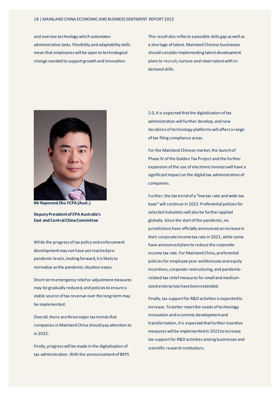and oversee technology which automates administrative tasks. Flexibility and adaptability skills mean that employees will be open to technological change needed to support growth and innovation.

This result also reflects a possible skills gap as well as a shortage of talent. Mainland Chinese businesses should consider implementing talent development plans to recruit, nurture and retain talent with indemand skills.



**Mr Raymond Zhu FCPA (Aust.)**

**Deputy President of CPA Australia's East and Central China Committee**

While the progress of tax policy and enforcement development may not have yet reached prepandemic levels, looking forward, it is likely to normalise as the pandemic situation eases.

Short-term emergency reliefor adjustment measures may be gradually reduced, and policies to ensure a stable source of tax revenue over the long-termmay be implemented.

Overall, there are three major tax trends that companies in Mainland China should pay attention to in  $2022$ 

Firstly, progress will be made in the digitalisation of tax administration. With the announcement of BEPS

2.0, it is expected that the digitalisation oftax administration will further develop, and new iterations of technology platforms will affect a range of tax filing compliance areas.

For the Mainland Chinese market, the launch of Phase IV of the Golden Tax Project and the further expansion of the use of electronic invoices will have a significant impact on the digital tax administration of companies.

Further, the tax trend of a "low tax rate and wide tax base" will continue in 2022. Preferential policies for selected industries will also be further applied globally. Since the start of the pandemic, no jurisdictions have officially announced an increase in their corporate income tax rate in 2021, while some have announced plans to reduce the corporate income tax rate. For Mainland China, preferential policies for employee year-end bonuses and equity incentives, corporate restructuring, and pandemicrelated tax relief measures for small and mediumsized enterprises have been extended.

Finally, tax support for R&D activities is expected to increase. To better meet the needs of technology innovation and economic development and transformation, it is expected that further incentive measures will be implementedin 2022 to increase tax support for R&D activities among businesses and scientific research institutions.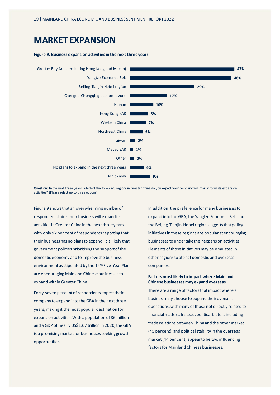# **MARKET EXPANSION**

## **Figure 9. Business expansion activities in the next three years**



**Question:** In the next three years, which of the following regions in Greater China do you expect your company will mainly focus its expansion activities? (Please select up to three options)

Figure 9 shows that an overwhelming number of respondents think their business will expand its activities in Greater China in the next three years, with only six per cent of respondents reporting that their business has no plans to expand. It is likely that government policies prioritising the support of the domestic economy and to improve the business environment as stipulated by the 14th Five-Year Plan, are encouraging Mainland Chinese businesses to expand within Greater China.

Forty-seven per cent of respondents expect their company to expand into the GBA in the next three years, making it the most popular destination for expansion activities. With a population of 86 million and a GDP of nearly US\$1.67 trillion in 2020, the GBA is a promising market for businesses seeking growth opportunities.

In addition, the preference for many businesses to expand into the GBA, the Yangtze Economic Belt and the Beijing-Tianjin-Hebei region suggests that policy initiatives in these regions are popular at encouraging businesses to undertake their expansion activities. Elements of those initiatives may be emulated in other regions to attract domestic and overseas companies.

## **Factors most likely to impact where Mainland Chinese businesses may expand overseas**

There are a range of factors that impact where a business may choose to expand their overseas operations, with many of those not directly related to financial matters. Instead, political factors including trade relations between China and the other market (45 percent), and political stability in the overseas market(44 per cent) appear to be two influencing factorsfor Mainland Chinese businesses.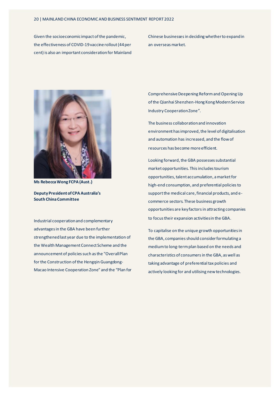Given the socioeconomic impact of the pandemic, the effectiveness of COVID-19 vaccine rollout(44 per cent) is also an important consideration for Mainland Chinese businesses in deciding whether to expand in an overseas market.



**Ms Rebecca Wong FCPA (Aust.)**

**Deputy President of CPA Australia's South China Committee**

Industrial cooperation and complementary advantages in the GBA have been further strengthened last year due to the implementation of the Wealth Management Connect Scheme and the announcement of policies such as the "Overall Plan for the Construction of the Hengqin Guangdong-Macao Intensive Cooperation Zone" and the "Plan for Comprehensive Deepening Reform and Opening Up of the Qianhai Shenzhen-Hong Kong Modern Service Industry Cooperation Zone".

The business collaboration and innovation environment has improved, the level of digitalisation and automation has increased, and the flow of resources has become more efficient.

Looking forward, the GBA possesses substantial market opportunities. This includes tourism opportunities, talent accumulation, a marketfor high-end consumption, and preferential policies to support the medical care, financial products, and ecommerce sectors. These business growth opportunities are key factors in attracting companies to focus their expansion activities in the GBA.

To capitalise on the unique growth opportunities in the GBA, companies should consider formulating a medium to long-term plan based on the needs and characteristics of consumersin the GBA, as well as taking advantage of preferential tax policies and actively looking for and utilising new technologies.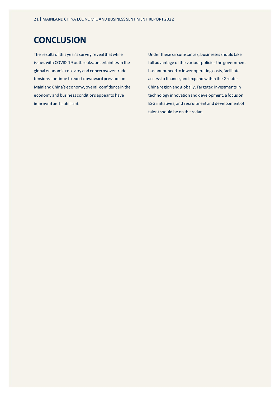# **CONCLUSION**

The results of this year's survey reveal that while issues with COVID-19 outbreaks, uncertainties in the global economic recovery and concerns over trade tensions continue to exert downward pressure on Mainland China's economy, overall confidence in the economy and business conditions appear to have improved and stabilised.

Under these circumstances, businesses should take full advantage of the various policies the government has announced to lower operating costs, facilitate access to finance, and expand within the Greater China region and globally. Targeted investments in technology innovation and development, a focus on ESG initiatives, and recruitment and development of talent should be on the radar.